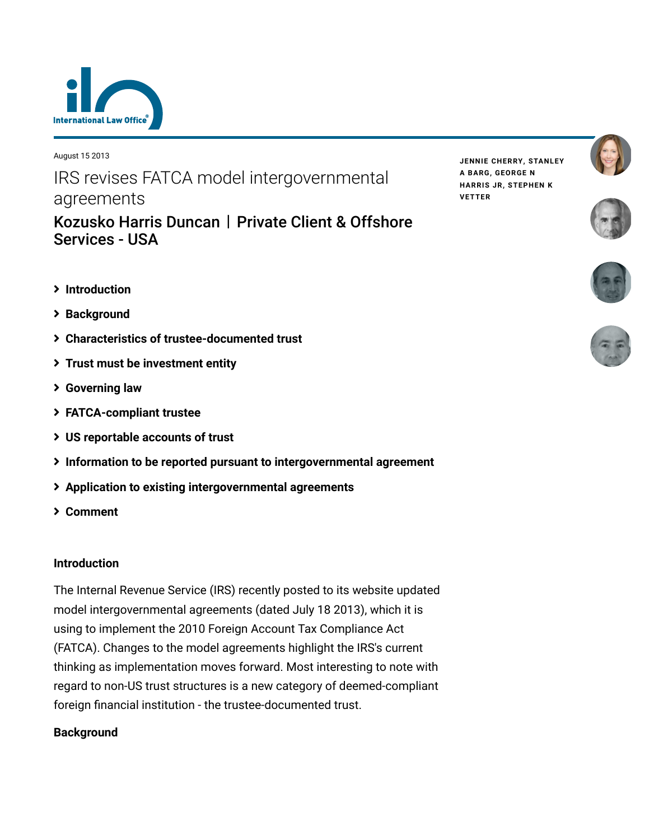

August 15 2013

IRS revises FATCA model intergovernmental agreements

[Kozusko Harris Duncan](https://www.lexology.com/contributors/23364) | Private Client & Offshore Services - USA

- **[Introduction](#page-0-0)**
- **[Background](#page-0-1)**
- **[Characteristics of trustee-documented trust](#page-1-0)**
- **[Trust must be investment entity](#page-1-1)**
- **[Governing law](#page-2-0)**
- **[FATCA-compliant trustee](#page-2-1)**
- **[US reportable accounts of trust](#page-3-0)**
- **[Information to be reported pursuant to intergovernmental agreement](#page-5-0)**
- **[Application to existing intergovernmental agreements](#page-5-1)**
- **[Comment](#page-6-0)**

#### <span id="page-0-0"></span>**Introduction**

The Internal Revenue Service (IRS) recently posted to its website updated model intergovernmental agreements (dated July 18 2013), which it is using to implement the 2010 Foreign Account Tax Compliance Act (FATCA). Changes to the model agreements highlight the IRS's current thinking as implementation moves forward. Most interesting to note with regard to non-US trust structures is a new category of deemed-compliant foreign financial institution - the trustee-documented trust.

## <span id="page-0-1"></span>**Background**

**JENNIE [CHERRY,](https://www.lexology.com/23364/author/Jennie_Cherry/) [STANLEY](https://www.lexology.com/23364/author/Stanley_A_Barg/) A BARG, [GEORGE](https://www.lexology.com/23364/author/George_N_Harris_Jr/) N HARRIS JR, [STEPHEN](https://www.lexology.com/23364/author/Stephen_K_Vetter/) K VETTER**





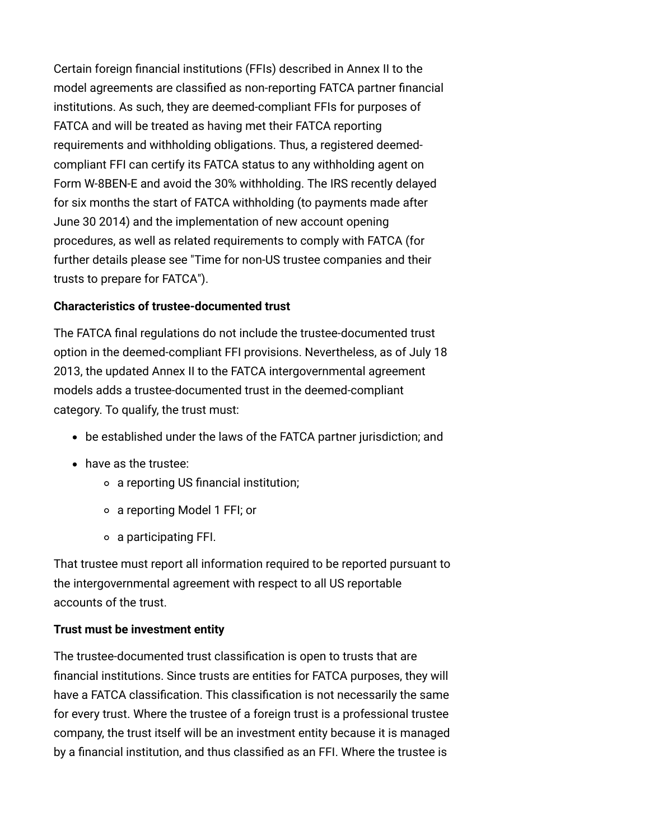Certain foreign financial institutions (FFIs) described in Annex II to the model agreements are classified as non-reporting FATCA partner financial institutions. As such, they are deemed-compliant FFIs for purposes of FATCA and will be treated as having met their FATCA reporting requirements and withholding obligations. Thus, a registered deemedcompliant FFI can certify its FATCA status to any withholding agent on Form W-8BEN-E and avoid the 30% withholding. The IRS recently delayed for six months the start of FATCA withholding (to payments made after June 30 2014) and the implementation of new account opening procedures, as well as related requirements to comply with FATCA (for [further details please see "Time for non-US trustee companies and their](http://www.internationallawoffice.com/newsletters/Detail.aspx?g=e197afb4-94b5-46eb-a5e9-16008a56c467) trusts to prepare for FATCA").

## <span id="page-1-0"></span>**Characteristics of trustee-documented trust**

The FATCA final regulations do not include the trustee-documented trust option in the deemed-compliant FFI provisions. Nevertheless, as of July 18 2013, the updated Annex II to the FATCA intergovernmental agreement models adds a trustee-documented trust in the deemed-compliant category. To qualify, the trust must:

- be established under the laws of the FATCA partner jurisdiction; and
- have as the trustee:
	- a reporting US financial institution;
	- a reporting Model 1 FFI; or
	- a participating FFI.

That trustee must report all information required to be reported pursuant to the intergovernmental agreement with respect to all US reportable accounts of the trust.

# <span id="page-1-1"></span>**Trust must be investment entity**

The trustee-documented trust classification is open to trusts that are financial institutions. Since trusts are entities for FATCA purposes, they will have a FATCA classification. This classification is not necessarily the same for every trust. Where the trustee of a foreign trust is a professional trustee company, the trust itself will be an investment entity because it is managed by a financial institution, and thus classified as an FFI. Where the trustee is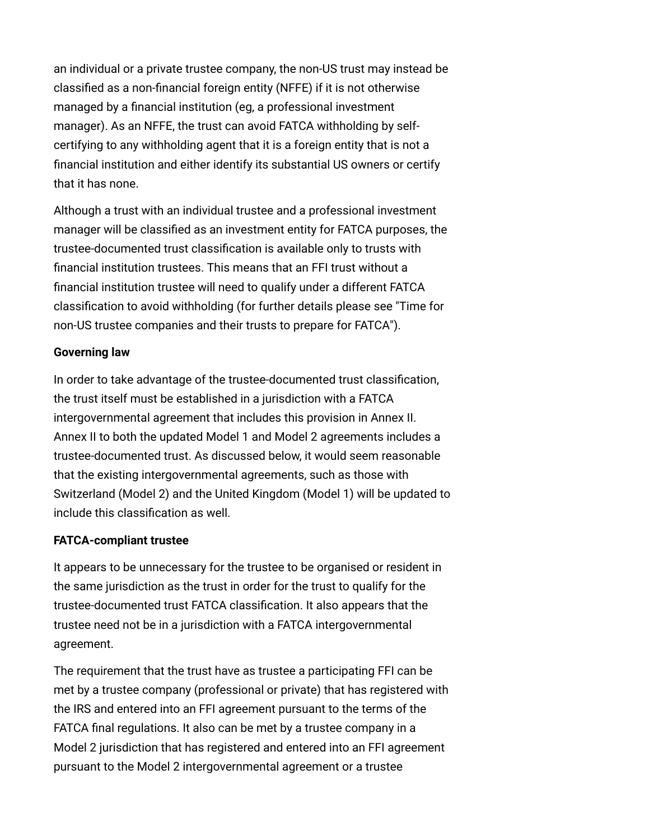an individual or a private trustee company, the non-US trust may instead be classified as a non-financial foreign entity (NFFE) if it is not otherwise managed by a financial institution (eg, a professional investment manager). As an NFFE, the trust can avoid FATCA withholding by selfcertifying to any withholding agent that it is a foreign entity that is not a financial institution and either identify its substantial US owners or certify that it has none.

Although a trust with an individual trustee and a professional investment manager will be classified as an investment entity for FATCA purposes, the trustee-documented trust classification is available only to trusts with financial institution trustees. This means that an FFI trust without a financial institution trustee will need to qualify under a different FATCA [classification to avoid withholding \(for further details please see "Time for](http://www.internationallawoffice.com/newsletters/Detail.aspx?g=e197afb4-94b5-46eb-a5e9-16008a56c467) non-US trustee companies and their trusts to prepare for FATCA").

### <span id="page-2-0"></span>**Governing law**

In order to take advantage of the trustee-documented trust classification, the trust itself must be established in a jurisdiction with a FATCA intergovernmental agreement that includes this provision in Annex II. Annex II to both the updated Model 1 and Model 2 agreements includes a trustee-documented trust. As discussed below, it would seem reasonable that the existing intergovernmental agreements, such as those with Switzerland (Model 2) and the United Kingdom (Model 1) will be updated to include this classification as well.

## <span id="page-2-1"></span>**FATCA-compliant trustee**

It appears to be unnecessary for the trustee to be organised or resident in the same jurisdiction as the trust in order for the trust to qualify for the trustee-documented trust FATCA classification. It also appears that the trustee need not be in a jurisdiction with a FATCA intergovernmental agreement.

The requirement that the trust have as trustee a participating FFI can be met by a trustee company (professional or private) that has registered with the IRS and entered into an FFI agreement pursuant to the terms of the FATCA final regulations. It also can be met by a trustee company in a Model 2 jurisdiction that has registered and entered into an FFI agreement pursuant to the Model 2 intergovernmental agreement or a trustee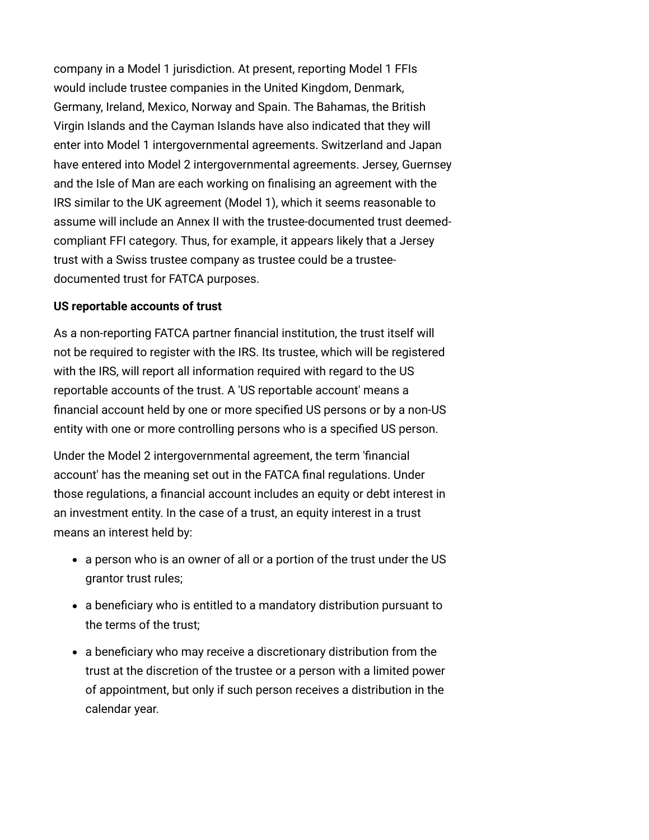company in a Model 1 jurisdiction. At present, reporting Model 1 FFIs would include trustee companies in the United Kingdom, Denmark, Germany, Ireland, Mexico, Norway and Spain. The Bahamas, the British Virgin Islands and the Cayman Islands have also indicated that they will enter into Model 1 intergovernmental agreements. Switzerland and Japan have entered into Model 2 intergovernmental agreements. Jersey, Guernsey and the Isle of Man are each working on finalising an agreement with the IRS similar to the UK agreement (Model 1), which it seems reasonable to assume will include an Annex II with the trustee-documented trust deemedcompliant FFI category. Thus, for example, it appears likely that a Jersey trust with a Swiss trustee company as trustee could be a trusteedocumented trust for FATCA purposes.

### <span id="page-3-0"></span>**US reportable accounts of trust**

As a non-reporting FATCA partner financial institution, the trust itself will not be required to register with the IRS. Its trustee, which will be registered with the IRS, will report all information required with regard to the US reportable accounts of the trust. A 'US reportable account' means a financial account held by one or more specified US persons or by a non-US entity with one or more controlling persons who is a specified US person.

Under the Model 2 intergovernmental agreement, the term 'financial account' has the meaning set out in the FATCA final regulations. Under those regulations, a financial account includes an equity or debt interest in an investment entity. In the case of a trust, an equity interest in a trust means an interest held by:

- a person who is an owner of all or a portion of the trust under the US grantor trust rules;
- a beneficiary who is entitled to a mandatory distribution pursuant to the terms of the trust;
- a beneficiary who may receive a discretionary distribution from the trust at the discretion of the trustee or a person with a limited power of appointment, but only if such person receives a distribution in the calendar year.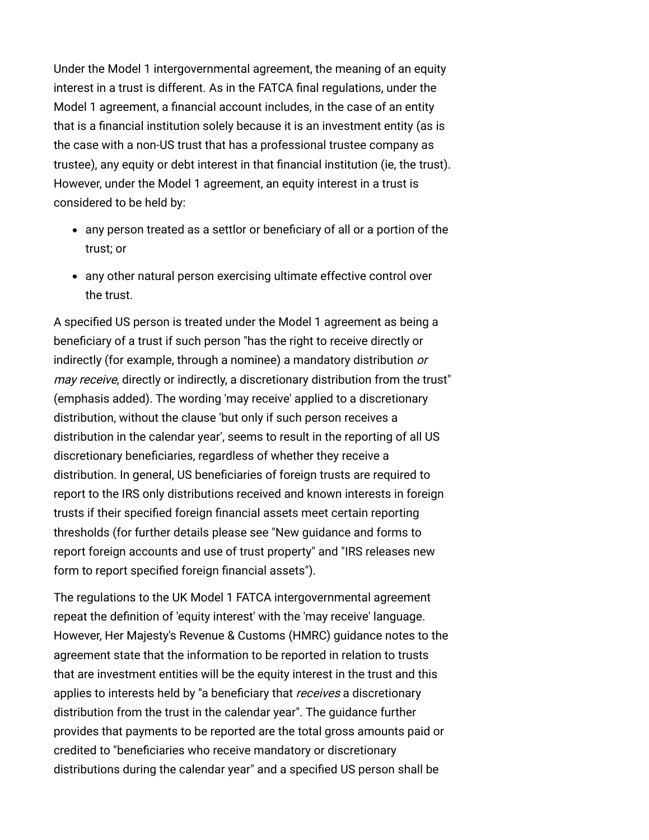Under the Model 1 intergovernmental agreement, the meaning of an equity interest in a trust is different. As in the FATCA final regulations, under the Model 1 agreement, a financial account includes, in the case of an entity that is a financial institution solely because it is an investment entity (as is the case with a non-US trust that has a professional trustee company as trustee), any equity or debt interest in that financial institution (ie, the trust). However, under the Model 1 agreement, an equity interest in a trust is considered to be held by:

- any person treated as a settlor or beneficiary of all or a portion of the trust; or
- any other natural person exercising ultimate effective control over the trust.

A specified US person is treated under the Model 1 agreement as being a beneficiary of a trust if such person "has the right to receive directly or indirectly (for example, through a nominee) a mandatory distribution or may receive, directly or indirectly, a discretionary distribution from the trust" (emphasis added). The wording 'may receive' applied to a discretionary distribution, without the clause 'but only if such person receives a distribution in the calendar year', seems to result in the reporting of all US discretionary beneficiaries, regardless of whether they receive a distribution. In general, US beneficiaries of foreign trusts are required to report to the IRS only distributions received and known interests in foreign trusts if their specified foreign financial assets meet certain reporting [thresholds \(for further details please see "New guidance and forms to](http://www.internationallawoffice.com/newsletters/Detail.aspx?g=e363950f-fc95-449f-ba7a-7a37a20a912d) [report foreign accounts and use of trust property" and "IRS releases new](http://www.internationallawoffice.com/newsletters/Detail.aspx?g=1da9dd2f-7552-4f5f-a90b-ede05a3bc18a) form to report specified foreign financial assets").

The regulations to the UK Model 1 FATCA intergovernmental agreement repeat the definition of 'equity interest' with the 'may receive' language. However, Her Majesty's Revenue & Customs (HMRC) guidance notes to the agreement state that the information to be reported in relation to trusts that are investment entities will be the equity interest in the trust and this applies to interests held by "a beneficiary that receives a discretionary distribution from the trust in the calendar year". The guidance further provides that payments to be reported are the total gross amounts paid or credited to "beneficiaries who receive mandatory or discretionary distributions during the calendar year" and a specified US person shall be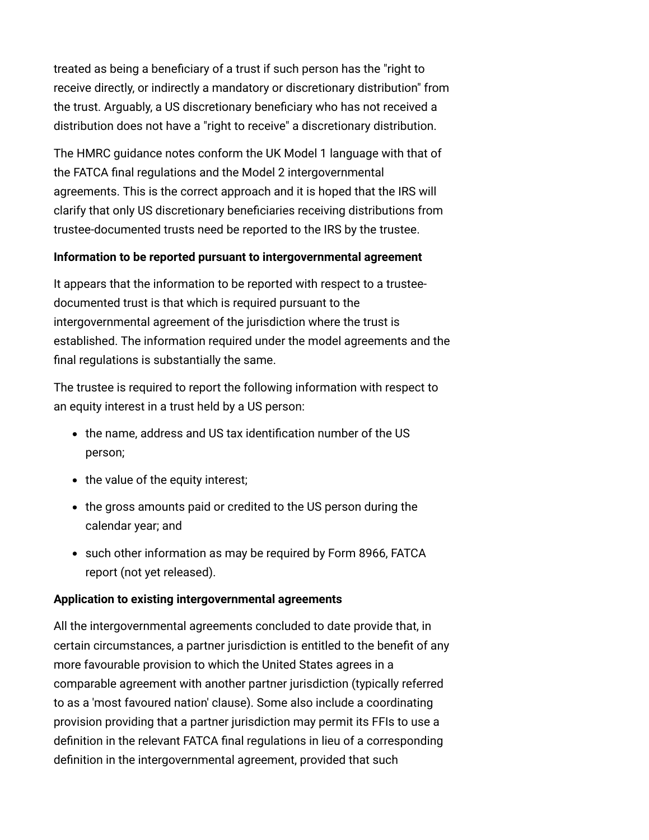treated as being a beneficiary of a trust if such person has the "right to receive directly, or indirectly a mandatory or discretionary distribution" from the trust. Arguably, a US discretionary beneficiary who has not received a distribution does not have a "right to receive" a discretionary distribution.

The HMRC guidance notes conform the UK Model 1 language with that of the FATCA final regulations and the Model 2 intergovernmental agreements. This is the correct approach and it is hoped that the IRS will clarify that only US discretionary beneficiaries receiving distributions from trustee-documented trusts need be reported to the IRS by the trustee.

# <span id="page-5-0"></span>**Information to be reported pursuant to intergovernmental agreement**

It appears that the information to be reported with respect to a trusteedocumented trust is that which is required pursuant to the intergovernmental agreement of the jurisdiction where the trust is established. The information required under the model agreements and the final regulations is substantially the same.

The trustee is required to report the following information with respect to an equity interest in a trust held by a US person:

- the name, address and US tax identification number of the US person;
- the value of the equity interest;
- the gross amounts paid or credited to the US person during the calendar year; and
- such other information as may be required by Form 8966, FATCA report (not yet released).

## <span id="page-5-1"></span>**Application to existing intergovernmental agreements**

All the intergovernmental agreements concluded to date provide that, in certain circumstances, a partner jurisdiction is entitled to the benefit of any more favourable provision to which the United States agrees in a comparable agreement with another partner jurisdiction (typically referred to as a 'most favoured nation' clause). Some also include a coordinating provision providing that a partner jurisdiction may permit its FFIs to use a definition in the relevant FATCA final regulations in lieu of a corresponding definition in the intergovernmental agreement, provided that such